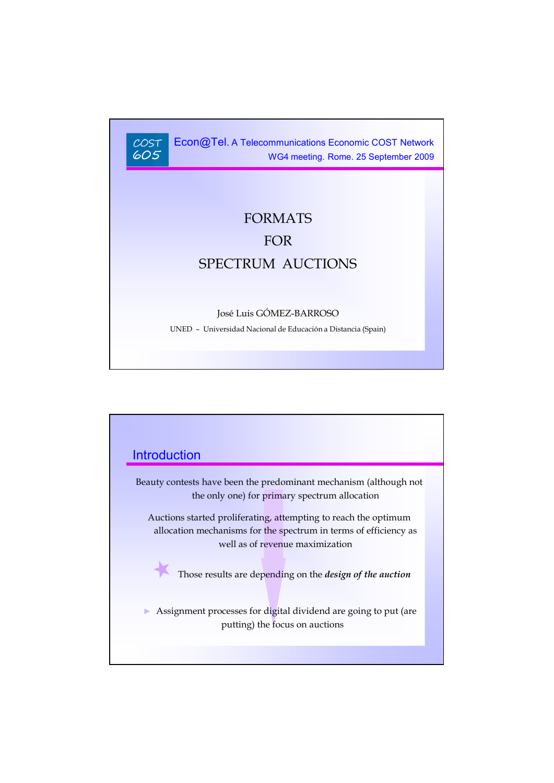$COST$ 605

Econ@Tel. A Telecommunications Economic COST Network WG4 meeting. Rome. 25 September 2009

# FORMATS FOR SPECTRUM AUCTIONS

#### José Luis GÓMEZ-BARROSO

UNED – Universidad Nacional de Educación a Distancia (Spain)

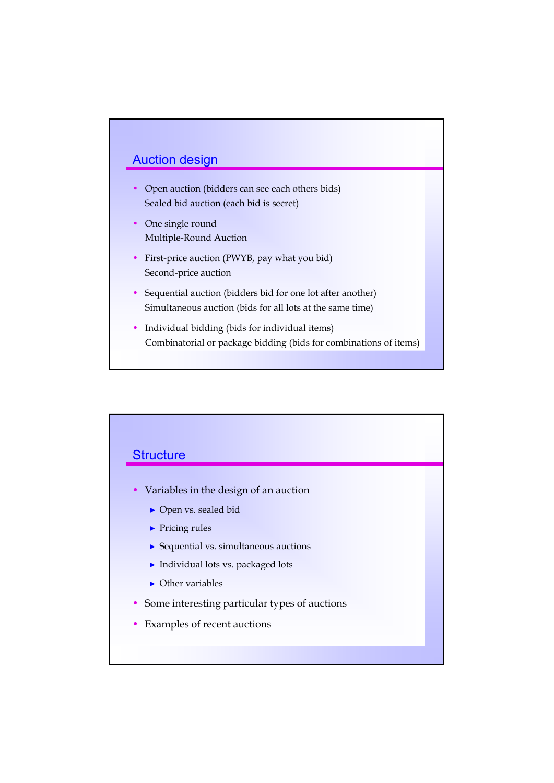## Auction design

- Open auction (bidders can see each others bids) Sealed bid auction (each bid is secret)
- One single round Multiple-Round Auction
- First-price auction (PWYB, pay what you bid) Second-price auction
- Sequential auction (bidders bid for one lot after another) Simultaneous auction (bids for all lots at the same time)
- Individual bidding (bids for individual items) Combinatorial or package bidding (bids for combinations of items)

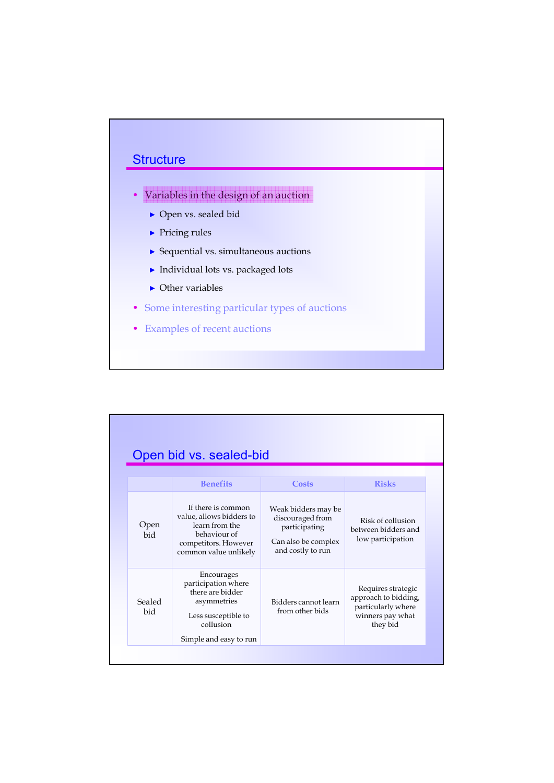

|               | Open bid vs. sealed-bid                                                                                                            |                                                                                                      |                                                                                                  |
|---------------|------------------------------------------------------------------------------------------------------------------------------------|------------------------------------------------------------------------------------------------------|--------------------------------------------------------------------------------------------------|
|               | <b>Benefits</b>                                                                                                                    | Costs                                                                                                | <b>Risks</b>                                                                                     |
| Open<br>bid   | If there is common<br>value, allows bidders to<br>learn from the<br>behaviour of<br>competitors. However<br>common value unlikely  | Weak bidders may be<br>discouraged from<br>participating<br>Can also be complex<br>and costly to run | Risk of collusion<br>between bidders and<br>low participation                                    |
| Sealed<br>bid | Encourages<br>participation where<br>there are bidder<br>asymmetries<br>Less susceptible to<br>collusion<br>Simple and easy to run | Bidders cannot learn<br>from other bids                                                              | Requires strategic<br>approach to bidding,<br>particularly where<br>winners pay what<br>they bid |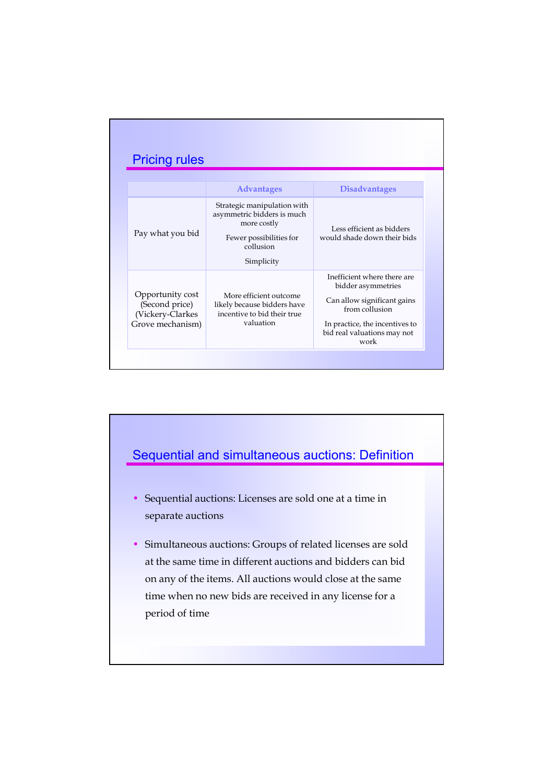|                                                                            | <b>Advantages</b>                                                                                                              | <b>Disadvantages</b>                                                                                                                                                        |
|----------------------------------------------------------------------------|--------------------------------------------------------------------------------------------------------------------------------|-----------------------------------------------------------------------------------------------------------------------------------------------------------------------------|
| Pay what you bid                                                           | Strategic manipulation with<br>asymmetric bidders is much<br>more costly<br>Fewer possibilities for<br>collusion<br>Simplicity | Less efficient as bidders<br>would shade down their bids                                                                                                                    |
| Opportunity cost<br>(Second price)<br>(Vickery-Clarkes<br>Grove mechanism) | More efficient outcome<br>likely because bidders have<br>incentive to bid their true<br>valuation                              | Inefficient where there are<br>bidder asymmetries<br>Can allow significant gains<br>from collusion<br>In practice, the incentives to<br>bid real valuations may not<br>work |

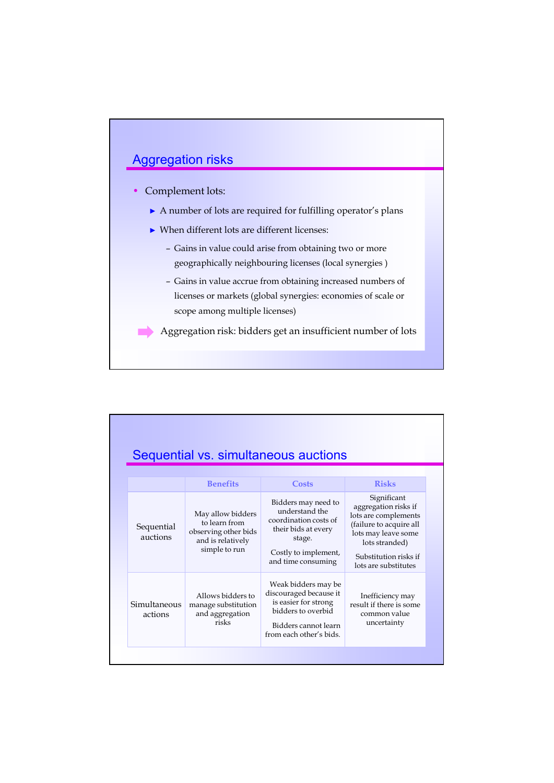# Aggregation risks

#### • Complement lots:

- ► A number of lots are required for fulfilling operator's plans
- ► When different lots are different licenses:
	- Gains in value could arise from obtaining two or more geographically neighbouring licenses (local synergies )
	- Gains in value accrue from obtaining increased numbers of licenses or markets (global synergies: economies of scale or scope among multiple licenses)

Aggregation risk: bidders get an insufficient number of lots

|                         |                                                                                                  | Sequential vs. simultaneous auctions                                                                                                           |                                                                                                                                                                                  |  |
|-------------------------|--------------------------------------------------------------------------------------------------|------------------------------------------------------------------------------------------------------------------------------------------------|----------------------------------------------------------------------------------------------------------------------------------------------------------------------------------|--|
|                         | <b>Benefits</b>                                                                                  | Costs                                                                                                                                          | <b>Risks</b>                                                                                                                                                                     |  |
| Sequential<br>auctions  | May allow bidders<br>to learn from<br>observing other bids<br>and is relatively<br>simple to run | Bidders may need to<br>understand the<br>coordination costs of<br>their bids at every<br>stage.<br>Costly to implement,<br>and time consuming  | Significant<br>aggregation risks if<br>lots are complements<br>(failure to acquire all<br>lots may leave some<br>lots stranded)<br>Substitution risks if<br>lots are substitutes |  |
| Simultaneous<br>actions | Allows bidders to<br>manage substitution<br>and aggregation<br>risks                             | Weak bidders may be<br>discouraged because it<br>is easier for strong<br>bidders to overbid<br>Bidders cannot learn<br>from each other's bids. | Inefficiency may<br>result if there is some<br>common value<br>uncertainty                                                                                                       |  |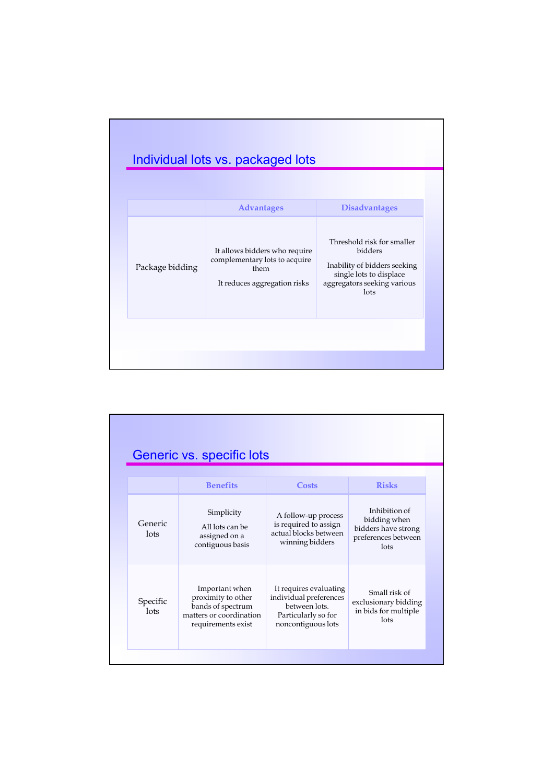|                 | <b>Advantages</b>                                                                                      | <b>Disadvantages</b>                                                                                                                    |
|-----------------|--------------------------------------------------------------------------------------------------------|-----------------------------------------------------------------------------------------------------------------------------------------|
| Package bidding | It allows bidders who require<br>complementary lots to acquire<br>them<br>It reduces aggregation risks | Threshold risk for smaller<br>bidders<br>Inability of bidders seeking<br>single lots to displace<br>aggregators seeking various<br>lots |

|                  | Generic vs. specific lots                                                                                  |                                                                                                                |                                                                                     |
|------------------|------------------------------------------------------------------------------------------------------------|----------------------------------------------------------------------------------------------------------------|-------------------------------------------------------------------------------------|
|                  | <b>Benefits</b>                                                                                            | Costs                                                                                                          | <b>Risks</b>                                                                        |
| Generic<br>lots  | Simplicity<br>All lots can be<br>assigned on a<br>contiguous basis                                         | A follow-up process<br>is required to assign<br>actual blocks between<br>winning bidders                       | Inhibition of<br>bidding when<br>bidders have strong<br>preferences between<br>lots |
| Specific<br>lots | Important when<br>proximity to other<br>bands of spectrum<br>matters or coordination<br>requirements exist | It requires evaluating<br>individual preferences<br>between lots.<br>Particularly so for<br>noncontiguous lots | Small risk of<br>exclusionary bidding<br>in bids for multiple<br>lots               |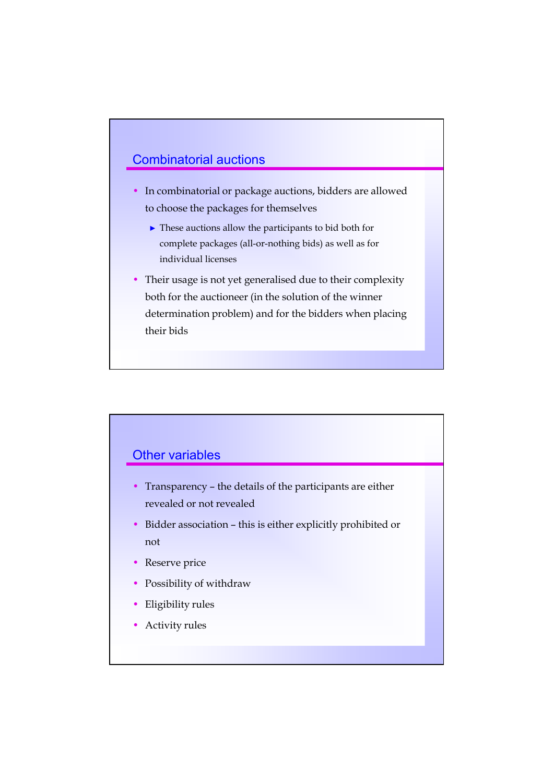### Combinatorial auctions

- In combinatorial or package auctions, bidders are allowed to choose the packages for themselves
	- ► These auctions allow the participants to bid both for complete packages (all-or-nothing bids) as well as for individual licenses
- Their usage is not yet generalised due to their complexity both for the auctioneer (in the solution of the winner determination problem) and for the bidders when placing their bids



- Transparency the details of the participants are either revealed or not revealed
- Bidder association this is either explicitly prohibited or not
- Reserve price
- Possibility of withdraw
- Eligibility rules
- Activity rules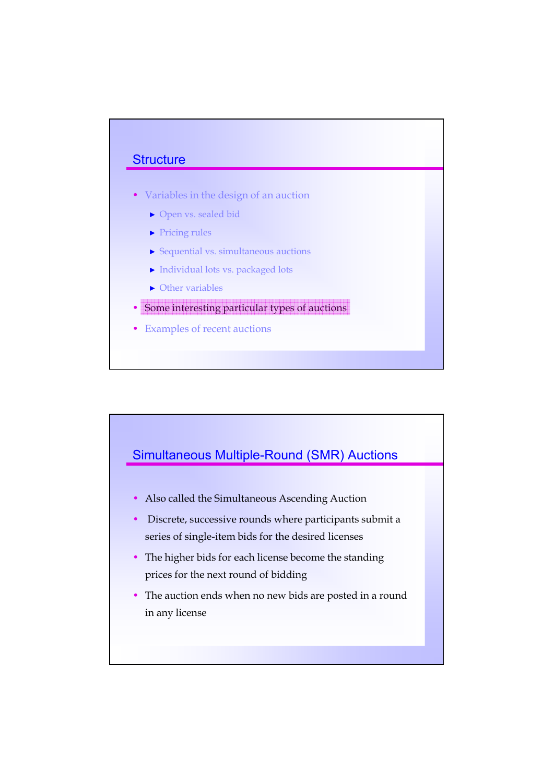#### **Structure**

- Variables in the design of an auction
	- ► Open vs. sealed bid
	- ► Pricing rules
	- ► Sequential vs. simultaneous auctions
	- ► Individual lots vs. packaged lots
	- ► Other variables
- Some interesting particular types of auctions
- Examples of recent auctions



- Also called the Simultaneous Ascending Auction
- Discrete, successive rounds where participants submit a series of single-item bids for the desired licenses
- The higher bids for each license become the standing prices for the next round of bidding
- The auction ends when no new bids are posted in a round in any license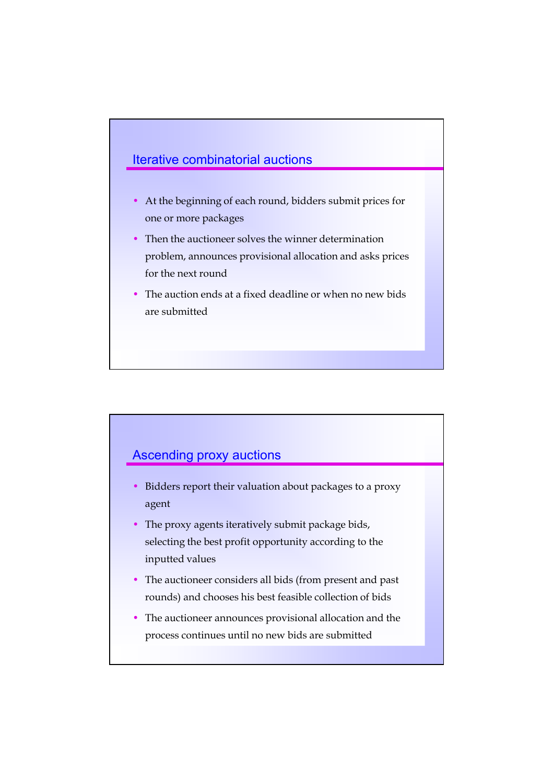## Iterative combinatorial auctions

- At the beginning of each round, bidders submit prices for one or more packages
- Then the auctioneer solves the winner determination problem, announces provisional allocation and asks prices for the next round
- The auction ends at a fixed deadline or when no new bids are submitted

## Ascending proxy auctions

- Bidders report their valuation about packages to a proxy agent
- The proxy agents iteratively submit package bids, selecting the best profit opportunity according to the inputted values
- The auctioneer considers all bids (from present and past rounds) and chooses his best feasible collection of bids
- The auctioneer announces provisional allocation and the process continues until no new bids are submitted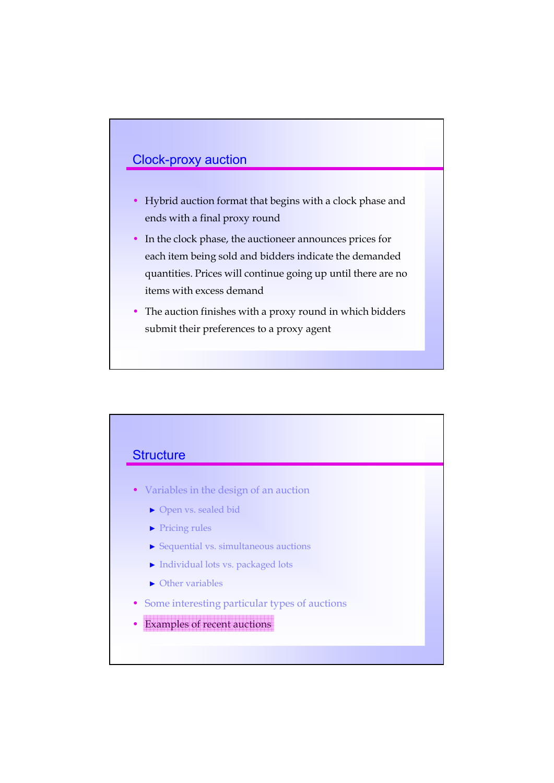# Clock-proxy auction

- Hybrid auction format that begins with a clock phase and ends with a final proxy round
- In the clock phase, the auctioneer announces prices for each item being sold and bidders indicate the demanded quantities. Prices will continue going up until there are no items with excess demand
- The auction finishes with a proxy round in which bidders submit their preferences to a proxy agent

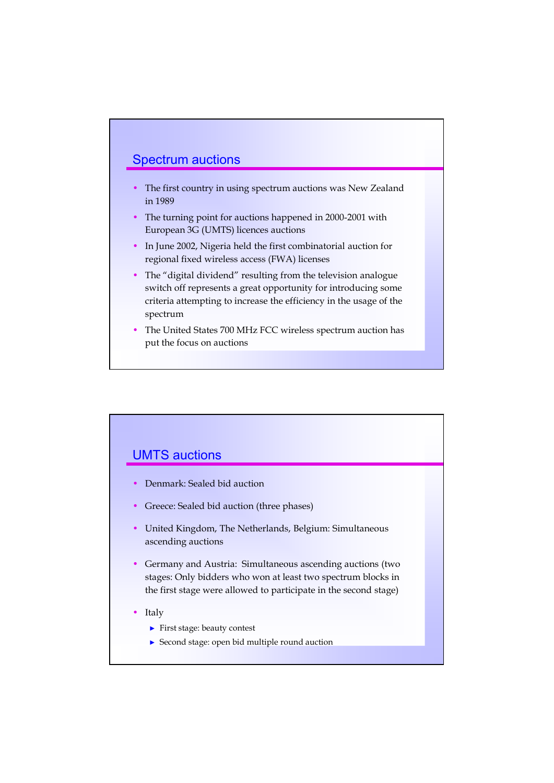#### Spectrum auctions

- The first country in using spectrum auctions was New Zealand in 1989
- The turning point for auctions happened in 2000-2001 with European 3G (UMTS) licences auctions
- In June 2002, Nigeria held the first combinatorial auction for regional fixed wireless access (FWA) licenses
- The "digital dividend" resulting from the television analogue switch off represents a great opportunity for introducing some criteria attempting to increase the efficiency in the usage of the spectrum
- The United States 700 MHz FCC wireless spectrum auction has put the focus on auctions

#### UMTS auctions

- Denmark: Sealed bid auction
- Greece: Sealed bid auction (three phases)
- United Kingdom, The Netherlands, Belgium: Simultaneous ascending auctions
- Germany and Austria: Simultaneous ascending auctions (two stages: Only bidders who won at least two spectrum blocks in the first stage were allowed to participate in the second stage)
- **Italy** 
	- ► First stage: beauty contest
	- ► Second stage: open bid multiple round auction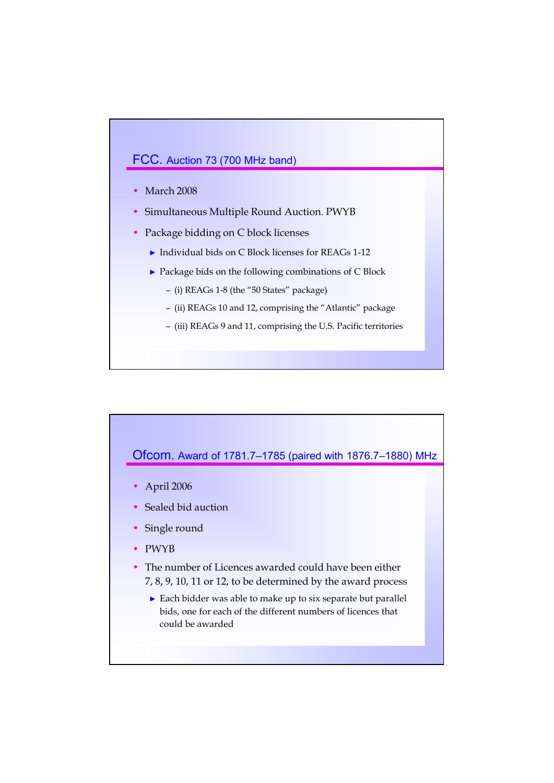#### FCC. Auction 73 (700 MHz band)

- March 2008
- Simultaneous Multiple Round Auction. PWYB
- Package bidding on C block licenses
	- ► Individual bids on C Block licenses for REAGs 1-12
	- ► Package bids on the following combinations of C Block
		- (i) REAGs 1-8 (the "50 States" package)
		- (ii) REAGs 10 and 12, comprising the "Atlantic" package
		- (iii) REAGs 9 and 11, comprising the U.S. Pacific territories

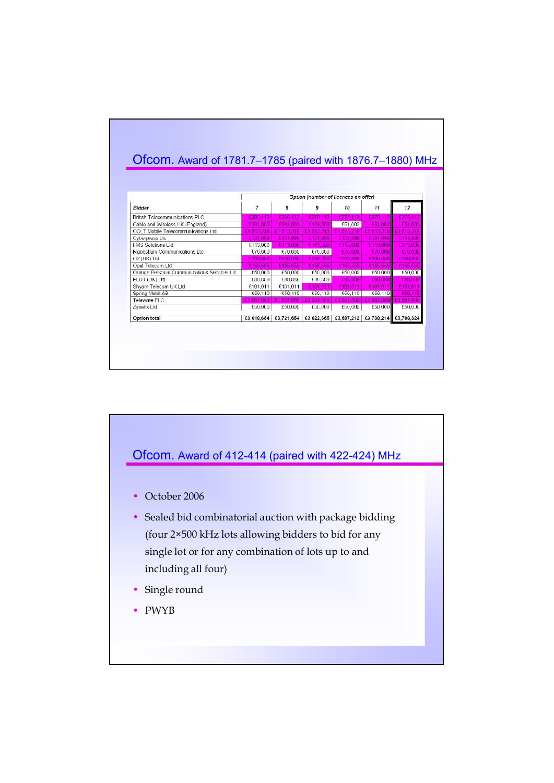|                                            | Option (number of licences on offer) |                                      |            |            |            |                       |
|--------------------------------------------|--------------------------------------|--------------------------------------|------------|------------|------------|-----------------------|
| <b>Bidder</b>                              | 7                                    | 8                                    | 9          | 10         | 11         | 12                    |
| British Telecommunications PLC             | £305,112                             | £205,112                             | £275,112   | £275.112   | £275.112   | £275,112              |
| Cable and Wireless UK (England)            | £281.002                             | £281,002                             | £101.002   | £51,002    | £51,002    | £51.002               |
| COLT Mobile Telecommunications I td.       | £1.513.218                           | £1,513,218                           | £1,513,218 | £1,513,218 | £1.513.218 | £1,513,218            |
| Cyberpress Ltd                             | £151.999                             | £151.999                             | £151.999   | £151,999   | £151.999   | £151.999              |
| <b>EMS Solutions Ltd</b>                   | £113.000                             | £113,000                             | £113,000   | £113,000   | £113,000   | £113,000              |
| Mapesbury Communications Ltd               | £/6,660                              | £/6,660                              | £/6,660    | £/6,660    | £/6,660    | £76,660               |
| O2 (UK) I td                               | £209,888                             | £209.888                             | £209,888   | £209.888   | £209,888   | £209,888              |
| Opal Telecom Ltd                           | £155,555                             | £155.555                             | £155,555   | £155,555   | £155,555   | £155.555              |
| Orange Personal Communications Services Hd | £50000                               | £50,000                              | £50,000    | £50,000    | £50,000    | £50,000               |
| PLDT (UK) Ltd                              | £88.889                              | £88.889                              | £88.889    | £88,889    | £88,889    | £88.889               |
| Shyam Telecom UK Ltd                       | £101.011                             | £101.011                             | £101.011   | £101.011   | £101,011   | £101.011              |
| Spring Mobil AB                            | £50.110                              | £50,110                              | £50,110    | £50,110    | £50.110    | £50,110               |
| Teleware PLC                               |                                      | £1.001.880   £1.001.880   £1.001.880 |            | £1.001.880 |            | £1,001,880 £1,001,880 |
| Zvnetix Ltd                                | £50,000                              | £50,000                              | £50,000    | £50,000    | £50,000    | £50,000               |
| <b>Option total</b>                        | £3,618,654                           | £3.721.664                           | £3,622,665 | £3.687.212 |            | £3,738,214 £3,788,324 |

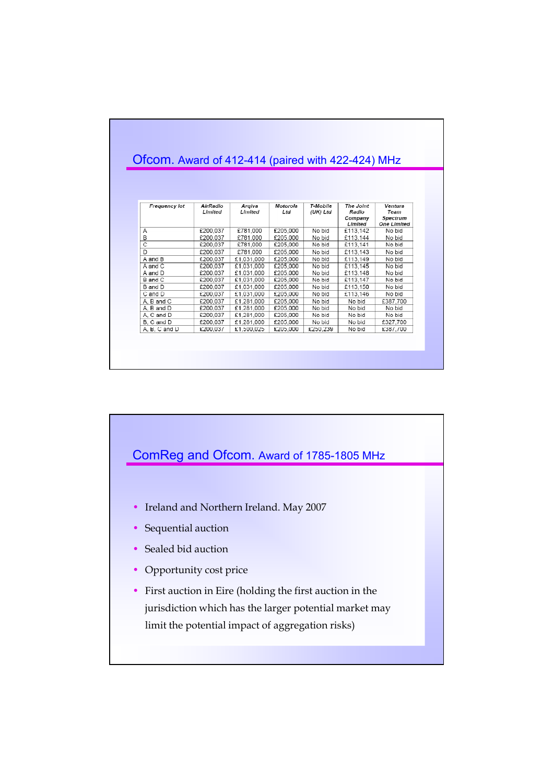| Frequency lot  | AirRadio<br>Limited | Argiva<br>Limited | Motorola<br>Ltd. | T-Mobile<br>(UK) Ltd | The Joint<br>Radio<br>Company<br>Limited | Ventura<br>Team<br>Spectrum<br><b>One Limited</b> |
|----------------|---------------------|-------------------|------------------|----------------------|------------------------------------------|---------------------------------------------------|
| Α              | £200.037            | £781.000          | £205,000         | No bid               | £113.142                                 | No bid                                            |
| $\overline{B}$ | £200.037            | £781.000          | £205.000         | No bid               | £113.144                                 | No bid                                            |
| ਟ              | £200,037            | £781.000          | £205,000         | No bid               | £113.141                                 | No bid                                            |
| D              | £200.037            | £781.000          | £205.000         | No bid               | £113.143                                 | No bid                                            |
| A and B        | £200.037            | £1.031.000        | £205,000         | No bid               | £113.149                                 | No bid                                            |
| A and C        | £200,037            | £1.031.000        | £205,000         | No bid               | £113,145                                 | No bid                                            |
| A and D        | £200.037            | £1,031,000        | £205.000         | No bid               | £113.148                                 | No bid                                            |
| B and C        | £200.037            | £1,031,000        | £205,000         | No bid               | £113,147                                 | No bid                                            |
| B and D        | £200.037            | £1,031,000        | £205.000         | No bid               | £113.150                                 | No bid                                            |
| C and D        | £200.037            | £1,031,000        | £205.000         | No bid               | £113,146                                 | No bid                                            |
| A, B and C     | £200.037            | £1,281,000        | £205,000         | No bid               | No bid                                   | £387.700                                          |
| A. B and D     | £200.037            | £1.281.000        | £205.000         | No bid               | No bid                                   | No bid                                            |
| A. C and D     | £200.037            | £1.281.000        | £205,000         | No bid               | No bid                                   | No bid                                            |
| B. C and D     | £200.037            | £1.281,000        | £205,000         | No bid               | No bid                                   | £327,700                                          |
| A, B, C and D  | £200.037            | £1.500.025        | £205.000         | £250.239             | No bid                                   | £387.700                                          |

# ComReg and Ofcom. Award of 1785-1805 MHz • Ireland and Northern Ireland. May 2007 • Sequential auction • Sealed bid auction • Opportunity cost price • First auction in Eire (holding the first auction in the jurisdiction which has the larger potential market may limit the potential impact of aggregation risks)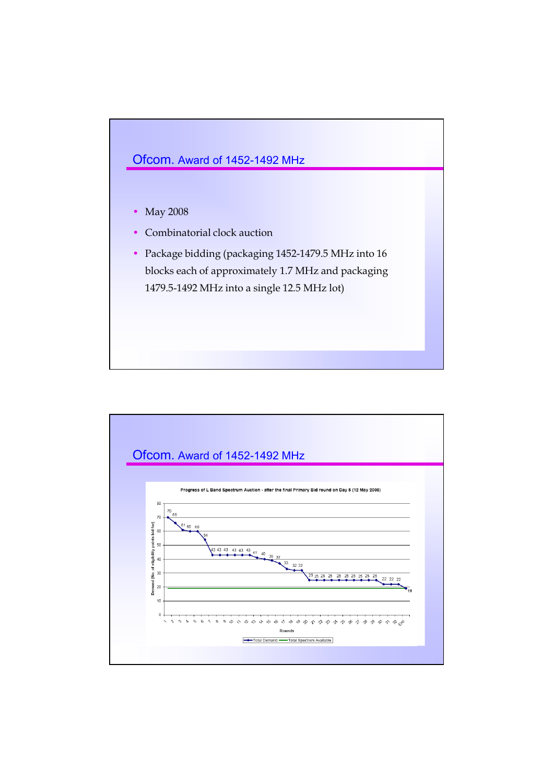